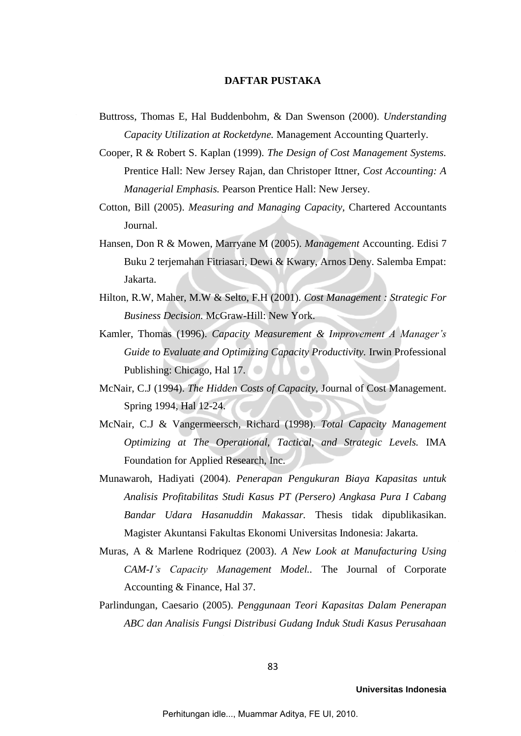## **DAFTAR PUSTAKA**

- Buttross, Thomas E, Hal Buddenbohm, & Dan Swenson (2000). *Understanding Capacity Utilization at Rocketdyne.* Management Accounting Quarterly.
- Cooper, R & Robert S. Kaplan (1999). *The Design of Cost Management Systems.*  Prentice Hall: New Jersey Rajan, dan Christoper Ittner, *Cost Accounting: A Managerial Emphasis.* Pearson Prentice Hall: New Jersey.
- Cotton, Bill (2005). *Measuring and Managing Capacity,* Chartered Accountants Journal.
- Hansen, Don R & Mowen, Marryane M (2005). *Management* Accounting. Edisi 7 Buku 2 terjemahan Fitriasari, Dewi & Kwary, Arnos Deny. Salemba Empat: Jakarta.
- Hilton, R.W, Maher, M.W & Selto, F.H (2001). *Cost Management : Strategic For Business Decision.* McGraw-Hill: New York.
- Kamler, Thomas (1996). *Capacity Measurement & Improvement A Manager's Guide to Evaluate and Optimizing Capacity Productivity.* Irwin Professional Publishing: Chicago, Hal 17.
- McNair, C.J (1994). *The Hidden Costs of Capacity,* Journal of Cost Management. Spring 1994, Hal 12-24.
- McNair, C.J & Vangermeersch, Richard (1998). *Total Capacity Management Optimizing at The Operational, Tactical, and Strategic Levels.* IMA Foundation for Applied Research, Inc.
- Munawaroh, Hadiyati (2004). *Penerapan Pengukuran Biaya Kapasitas untuk Analisis Profitabilitas Studi Kasus PT (Persero) Angkasa Pura I Cabang Bandar Udara Hasanuddin Makassar.* Thesis tidak dipublikasikan. Magister Akuntansi Fakultas Ekonomi Universitas Indonesia: Jakarta.
- Muras, A & Marlene Rodriquez (2003). *A New Look at Manufacturing Using CAM-I's Capacity Management Model..* The Journal of Corporate Accounting & Finance, Hal 37.
- Parlindungan, Caesario (2005). *Penggunaan Teori Kapasitas Dalam Penerapan ABC dan Analisis Fungsi Distribusi Gudang Induk Studi Kasus Perusahaan*

**Universitas Indonesia**